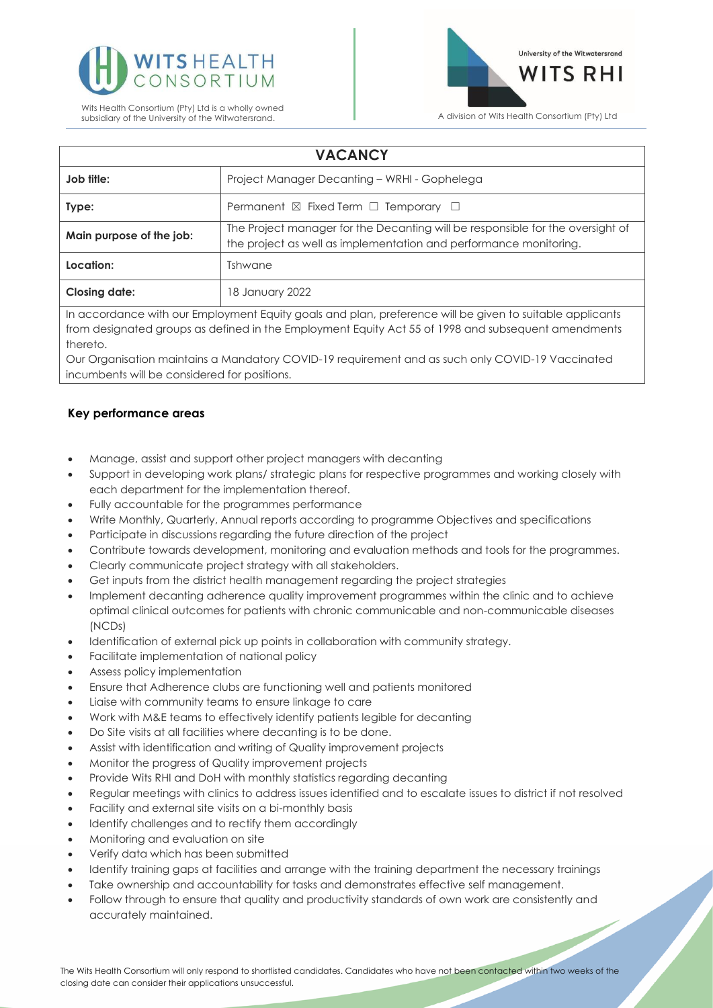



| <b>VACANCY</b>                                                                                           |                                                                                                                                                     |
|----------------------------------------------------------------------------------------------------------|-----------------------------------------------------------------------------------------------------------------------------------------------------|
| Job title:                                                                                               | Project Manager Decanting - WRHI - Gophelega                                                                                                        |
| Type:                                                                                                    | Permanent $\boxtimes$ Fixed Term $\Box$ Temporary $\Box$                                                                                            |
| Main purpose of the job:                                                                                 | The Project manager for the Decanting will be responsible for the oversight of<br>the project as well as implementation and performance monitoring. |
| Location:                                                                                                | Tshwane                                                                                                                                             |
| <b>Closing date:</b>                                                                                     | 18 January 2022                                                                                                                                     |
| In accordance with our Employment Faulty goals and plan, preference will be given to suitable applicants |                                                                                                                                                     |

with our Employment Equity goals and plan, preference will be given to suitable app from designated groups as defined in the Employment Equity Act 55 of 1998 and subsequent amendments thereto.

Our Organisation maintains a Mandatory COVID-19 requirement and as such only COVID-19 Vaccinated incumbents will be considered for positions.

# **Key performance areas**

- Manage, assist and support other project managers with decanting
- Support in developing work plans/ strategic plans for respective programmes and working closely with each department for the implementation thereof.
- Fully accountable for the programmes performance
- Write Monthly, Quarterly, Annual reports according to programme Objectives and specifications
- Participate in discussions regarding the future direction of the project
- Contribute towards development, monitoring and evaluation methods and tools for the programmes.
- Clearly communicate project strategy with all stakeholders.
- Get inputs from the district health management regarding the project strategies
- Implement decanting adherence quality improvement programmes within the clinic and to achieve optimal clinical outcomes for patients with chronic communicable and non-communicable diseases (NCDs)
- Identification of external pick up points in collaboration with community strategy.
- Facilitate implementation of national policy
- Assess policy implementation
- Ensure that Adherence clubs are functioning well and patients monitored
- Liaise with community teams to ensure linkage to care
- Work with M&E teams to effectively identify patients legible for decanting
- Do Site visits at all facilities where decanting is to be done.
- Assist with identification and writing of Quality improvement projects
- Monitor the progress of Quality improvement projects
- Provide Wits RHI and DoH with monthly statistics regarding decanting
- Regular meetings with clinics to address issues identified and to escalate issues to district if not resolved
- Facility and external site visits on a bi-monthly basis
- Identify challenges and to rectify them accordingly
- Monitoring and evaluation on site
- Verify data which has been submitted
- Identify training gaps at facilities and arrange with the training department the necessary trainings
- Take ownership and accountability for tasks and demonstrates effective self management.
- Follow through to ensure that quality and productivity standards of own work are consistently and accurately maintained.